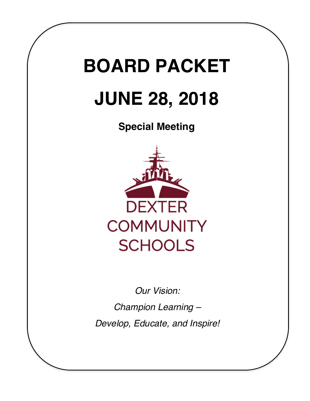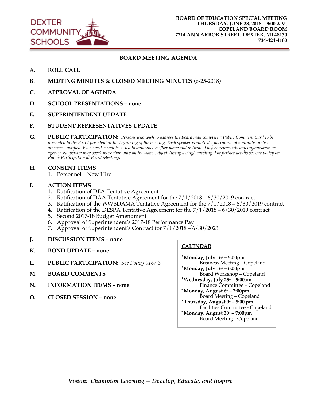

#### **BOARD MEETING AGENDA**

- **A. ROLL CALL**
- **B. MEETING MINUTES & CLOSED MEETING MINUTES** (6-25-2018)
- **C. APPROVAL OF AGENDA**
- **D. SCHOOL PRESENTATIONS – none**
- **E. SUPERINTENDENT UPDATE**
- **F. STUDENT REPRESENTATIVES UPDATE**
- **G. PUBLIC PARTICIPATION:** *Persons who wish to address the Board may complete a Public Comment Card to be presented to the Board president at the beginning of the meeting. Each speaker is allotted a maximum of 5 minutes unless otherwise notified. Each speaker will be asked to announce his/her name and indicate if he/she represents any organization or agency. No person may speak more than once on the same subject during a single meeting. For further details see our policy on Public Participation at Board Meetings.*
- **H. CONSENT ITEMS**
	- 1. Personnel New Hire
- **I. ACTION ITEMS**
	- 1. Ratification of DEA Tentative Agreement
	- 2. Ratification of DAA Tentative Agreement for the 7/1/2018 6/30/2019 contract
	- 3. Ratification of the WWBDAMA Tentative Agreement for the 7/1/2018 6/30/2019 contract
	- 4. Ratification of the DESPA Tentative Agreement for the 7/1/2018 6/30/2019 contract
	- 5. Second 2017-18 Budget Amendment
	- 6. Approval of Superintendent's 2017-18 Performance Pay
- 7. Approval of Superintendent's Contract for  $7/1/2018 6/30/2023$ <br>J. DISCUSSION ITEMS none
- **J. DISCUSSION ITEMS – none**
- **K. BOND UPDATE – none**
- **L. PUBLIC PARTICIPATION:** *See Policy 0167.3*
- **M. BOARD COMMENTS**
- **N. INFORMATION ITEMS – none**
- **O. CLOSED SESSION – none**

#### **CALENDAR**

**\*Monday, July 16th – 5:00pm** Business Meeting – Copeland **\*Monday, July 16th – 6:00pm** Board Workshop – Copeland **\*Wednesday, July 25th – 9:00am** Finance Committee – Copeland **\*Monday, August 6th – 7:00pm** Board Meeting – Copeland **\*Thursday, August 9th – 5:00 pm** Facilities Committee - Copeland **\*Monday, August 20<sup>th</sup> – 7:00pm** Board Meeting - Copeland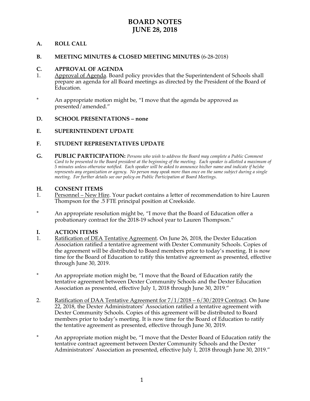# **BOARD NOTES JUNE 28, 2018**

#### **A. ROLL CALL**

#### **B. MEETING MINUTES & CLOSED MEETING MINUTES** (6-28-2018)

#### **C. APPROVAL OF AGENDA**

- 1. Approval of Agenda. Board policy provides that the Superintendent of Schools shall prepare an agenda for all Board meetings as directed by the President of the Board of Education.
- \* An appropriate motion might be, "I move that the agenda be approved as presented/amended."

#### **D. SCHOOL PRESENTATIONS – none**

#### **E. SUPERINTENDENT UPDATE**

#### **F. STUDENT REPRESENTATIVES UPDATE**

**G. PUBLIC PARTICIPATION:** *Persons who wish to address the Board may complete a Public Comment Card to be presented to the Board president at the beginning of the meeting. Each speaker is allotted a maximum of 5 minutes unless otherwise notified. Each speaker will be asked to announce his/her name and indicate if he/she represents any organization or agency. No person may speak more than once on the same subject during a single meeting. For further details see our policy on Public Participation at Board Meetings.*

# **H. CONSENT ITEMS**<br>1. Personnel – New Hi

- Personnel New Hire. Your packet contains a letter of recommendation to hire Lauren Thompson for the .5 FTE principal position at Creekside.
- \* An appropriate resolution might be, "I move that the Board of Education offer a probationary contract for the 2018-19 school year to Lauren Thompson."

#### **I. ACTION ITEMS**

- 1. Ratification of DEA Tentative Agreement. On June 26, 2018, the Dexter Education Association ratified a tentative agreement with Dexter Community Schools. Copies of the agreement will be distributed to Board members prior to today's meeting. It is now time for the Board of Education to ratify this tentative agreement as presented, effective through June 30, 2019.
- \* An appropriate motion might be, "I move that the Board of Education ratify the tentative agreement between Dexter Community Schools and the Dexter Education Association as presented, effective July 1, 2018 through June 30, 2019."
- 2. Ratification of DAA Tentative Agreement for 7/1/2018 6/30/2019 Contract. On June 22, 2018, the Dexter Administrators' Association ratified a tentative agreement with Dexter Community Schools. Copies of this agreement will be distributed to Board members prior to today's meeting. It is now time for the Board of Education to ratify the tentative agreement as presented, effective through June 30, 2019.
- \* An appropriate motion might be, "I move that the Dexter Board of Education ratify the tentative contract agreement between Dexter Community Schools and the Dexter Administrators' Association as presented, effective July 1, 2018 through June 30, 2019."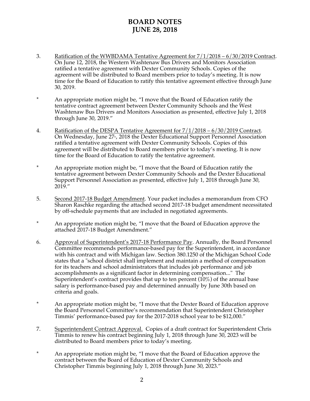# **BOARD NOTES JUNE 28, 2018**

- 3. Ratification of the WWBDAMA Tentative Agreement for 7/1/2018 6/30/2019 Contract. On June 12, 2018, the Western Washtenaw Bus Drivers and Monitors Association ratified a tentative agreement with Dexter Community Schools. Copies of the agreement will be distributed to Board members prior to today's meeting. It is now time for the Board of Education to ratify this tentative agreement effective through June 30, 2019.
- \* An appropriate motion might be, "I move that the Board of Education ratify the tentative contract agreement between Dexter Community Schools and the West Washtenaw Bus Drivers and Monitors Association as presented, effective July 1, 2018 through June 30, 2019."
- 4. Ratification of the DESPA Tentative Agreement for 7/1/2018 6/30/2019 Contract. On Wednesday, June 27<sup>th</sup>, 2018 the Dexter Educational Support Personnel Association ratified a tentative agreement with Dexter Community Schools. Copies of this agreement will be distributed to Board members prior to today's meeting. It is now time for the Board of Education to ratify the tentative agreement.
- \* An appropriate motion might be, "I move that the Board of Education ratify the tentative agreement between Dexter Community Schools and the Dexter Educational Support Personnel Association as presented, effective July 1, 2018 through June 30, 2019."
- 5. Second 2017-18 Budget Amendment. Your packet includes a memorandum from CFO Sharon Raschke regarding the attached second 2017-18 budget amendment necessitated by off-schedule payments that are included in negotiated agreements.
- \* An appropriate motion might be, "I move that the Board of Education approve the attached 2017-18 Budget Amendment."
- 6. Approval of Superintendent's 2017-18 Performance Pay. Annually, the Board Personnel Committee recommends performance-based pay for the Superintendent, in accordance with his contract and with Michigan law. Section 380.1250 of the Michigan School Code states that a "school district shall implement and maintain a method of compensation for its teachers and school administrators that includes job performance and job accomplishments as a significant factor in determining compensation..." The Superintendent's contract provides that up to ten percent  $(10\%)$  of the annual base salary is performance-based pay and determined annually by June 30th based on criteria and goals.
- \* An appropriate motion might be, "I move that the Dexter Board of Education approve the Board Personnel Committee's recommendation that Superintendent Christopher Timmis' performance-based pay for the 2017-2018 school year to be \$12,000."
- 7. Superintendent Contract Approval. Copies of a draft contract for Superintendent Chris Timmis to renew his contract beginning July 1, 2018 through June 30, 2023 will be distributed to Board members prior to today's meeting.
- \* An appropriate motion might be, "I move that the Board of Education approve the contract between the Board of Education of Dexter Community Schools and Christopher Timmis beginning July 1, 2018 through June 30, 2023."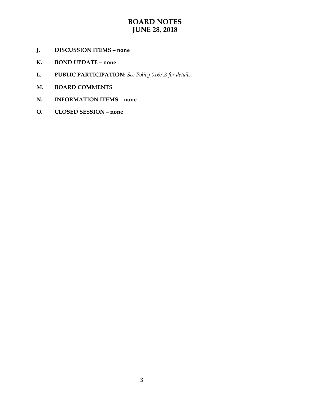# **BOARD NOTES JUNE 28, 2018**

- **J. DISCUSSION ITEMS – none**
- **K. BOND UPDATE – none**
- **L. PUBLIC PARTICIPATION:** *See Policy 0167.3 for details.*
- **M. BOARD COMMENTS**
- **N. INFORMATION ITEMS – none**
- **O. CLOSED SESSION – none**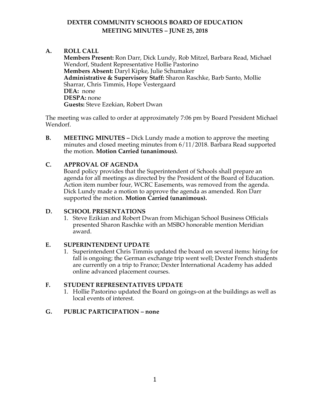# **DEXTER COMMUNITY SCHOOLS BOARD OF EDUCATION MEETING MINUTES – JUNE 25, 2018**

## **A. ROLL CALL**

**Members Present:** Ron Darr, Dick Lundy, Rob Mitzel, Barbara Read, Michael Wendorf, Student Representative Hollie Pastorino **Members Absent:** Daryl Kipke, Julie Schumaker **Administrative & Supervisory Staff:** Sharon Raschke, Barb Santo, Mollie Sharrar, Chris Timmis, Hope Vestergaard **DEA:** none **DESPA:** none **Guests:** Steve Ezekian, Robert Dwan

The meeting was called to order at approximately 7:06 pm by Board President Michael Wendorf.

**B. MEETING MINUTES –** Dick Lundy made a motion to approve the meeting minutes and closed meeting minutes from 6/11/2018. Barbara Read supported the motion. **Motion Carried (unanimous).** 

### **C. APPROVAL OF AGENDA**

Board policy provides that the Superintendent of Schools shall prepare an agenda for all meetings as directed by the President of the Board of Education. Action item number four, WCRC Easements, was removed from the agenda. Dick Lundy made a motion to approve the agenda as amended. Ron Darr supported the motion. **Motion Carried (unanimous).** 

### **D. SCHOOL PRESENTATIONS**

1. Steve Ezikian and Robert Dwan from Michigan School Business Officials presented Sharon Raschke with an MSBO honorable mention Meridian award.

### **E. SUPERINTENDENT UPDATE**

1. Superintendent Chris Timmis updated the board on several items: hiring for fall is ongoing; the German exchange trip went well; Dexter French students are currently on a trip to France; Dexter International Academy has added online advanced placement courses.

### **F. STUDENT REPRESENTATIVES UPDATE**

1. Hollie Pastorino updated the Board on goings-on at the buildings as well as local events of interest.

### **G. PUBLIC PARTICIPATION – none**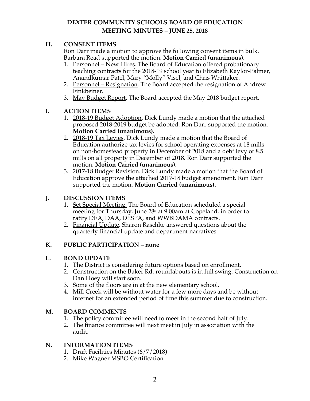# **DEXTER COMMUNITY SCHOOLS BOARD OF EDUCATION MEETING MINUTES – JUNE 25, 2018**

## **H. CONSENT ITEMS**

Ron Darr made a motion to approve the following consent items in bulk. Barbara Read supported the motion. **Motion Carried (unanimous).**

- 1. Personnel New Hires. The Board of Education offered probationary teaching contracts for the 2018-19 school year to Elizabeth Kaylor-Palmer, Anandkumar Patel, Mary "Molly" Visel, and Chris Whittaker.
- 2. Personnel Resignation. The Board accepted the resignation of Andrew Finkbeiner.
- 3. May Budget Report. The Board accepted the May 2018 budget report.

## **I. ACTION ITEMS**

- 1. 2018-19 Budget Adoption. Dick Lundy made a motion that the attached proposed 2018-2019 budget be adopted. Ron Darr supported the motion. **Motion Carried (unanimous).**
- 2. 2018-19 Tax Levies. Dick Lundy made a motion that the Board of Education authorize tax levies for school operating expenses at 18 mills on non-homestead property in December of 2018 and a debt levy of 8.5 mills on all property in December of 2018. Ron Darr supported the motion. **Motion Carried (unanimous).**
- 3. 2017-18 Budget Revision. Dick Lundy made a motion that the Board of Education approve the attached 2017-18 budget amendment. Ron Darr supported the motion. **Motion Carried (unanimous).**

# **J. DISCUSSION ITEMS**

- 1. Set Special Meeting. The Board of Education scheduled a special meeting for Thursday, June  $28<sup>th</sup>$  at 9:00am at Copeland, in order to ratify DEA, DAA, DESPA, and WWBDAMA contracts.
- 2. Financial Update. Sharon Raschke answered questions about the quarterly financial update and department narratives.

## **K. PUBLIC PARTICIPATION – none**

## **L. BOND UPDATE**

- 1. The District is considering future options based on enrollment.
- 2. Construction on the Baker Rd. roundabouts is in full swing. Construction on Dan Hoey will start soon.
- 3. Some of the floors are in at the new elementary school.
- 4. Mill Creek will be without water for a few more days and be without internet for an extended period of time this summer due to construction.

## **M. BOARD COMMENTS**

- 1. The policy committee will need to meet in the second half of July.
- 2. The finance committee will next meet in July in association with the audit.

## **N. INFORMATION ITEMS**

- 1. Draft Facilities Minutes (6/7/2018)
- 2. Mike Wagner MSBO Certification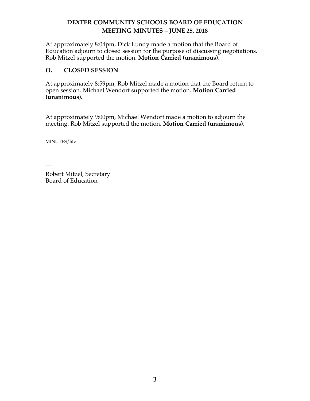# **DEXTER COMMUNITY SCHOOLS BOARD OF EDUCATION MEETING MINUTES – JUNE 25, 2018**

At approximately 8:04pm, Dick Lundy made a motion that the Board of Education adjourn to closed session for the purpose of discussing negotiations. Rob Mitzel supported the motion. **Motion Carried (unanimous).**

## **O. CLOSED SESSION**

At approximately 8:59pm, Rob Mitzel made a motion that the Board return to open session. Michael Wendorf supported the motion. **Motion Carried (unanimous).**

At approximately 9:00pm, Michael Wendorf made a motion to adjourn the meeting. Rob Mitzel supported the motion. **Motion Carried (unanimous).**

MINUTES/hlv

Robert Mitzel, Secretary Board of Education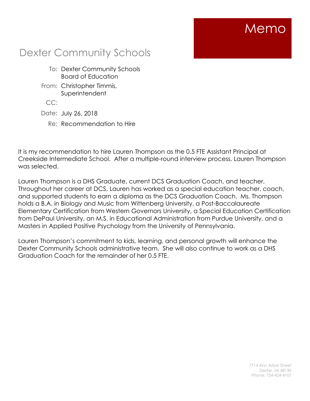# Memo

# Dexter Community Schools

- To: Dexter Community Schools Board of Education
- From: Christopher Timmis, **Superintendent**

CC:

- Date: July 26, 2018
	- Re: Recommendation to Hire

It is my recommendation to hire Lauren Thompson as the 0.5 FTE Assistant Principal at Creekside Intermediate School. After a multiple-round interview process, Lauren Thompson was selected.

Lauren Thompson is a DHS Graduate, current DCS Graduation Coach, and teacher. Throughout her career at DCS, Lauren has worked as a special education teacher, coach, and supported students to earn a diploma as the DCS Graduation Coach. Ms. Thompson holds a B.A. in Biology and Music from Wittenberg University, a Post-Baccalaureate Elementary Certification from Western Governors University, a Special Education Certification from DePaul University, an M.S. in Educational Administration from Purdue University, and a Masters in Applied Positive Psychology from the University of Pennsylvania.

Lauren Thompson's commitment to kids, learning, and personal growth will enhance the Dexter Community Schools administrative team. She will also continue to work as a DHS Graduation Coach for the remainder of her 0.5 FTE.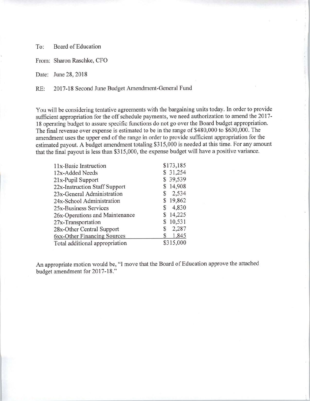Board of Education To:

From: Sharon Raschke, CFO

Date: June 28, 2018

2017-18 Second June Budget Amendment-General Fund  $RE:$ 

You will be considering tentative agreements with the bargaining units today. In order to provide sufficient appropriation for the off schedule payments, we need authorization to amend the 2017-18 operating budget to assure specific functions do not go over the Board budget appropriation. The final revenue over expense is estimated to be in the range of \$480,000 to \$630,000. The amendment uses the upper end of the range in order to provide sufficient appropriation for the estimated payout. A budget amendment totaling \$315,000 is needed at this time. For any amount that the final payout is less than \$315,000, the expense budget will have a positive variance.

| \$173,185 |
|-----------|
| \$31,254  |
| \$39,539  |
| \$14,908  |
| 2,534     |
| \$19,862  |
| 4,830     |
| \$14,225  |
| \$10,531  |
| 2,287     |
| 1,845     |
| \$315,000 |
|           |

An appropriate motion would be, "I move that the Board of Education approve the attached budget amendment for 2017-18."